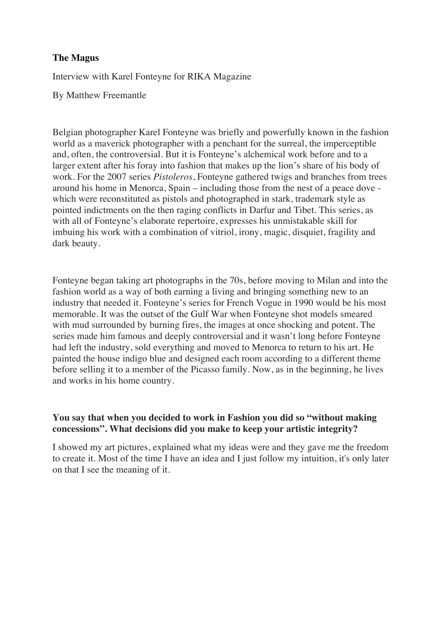### **The Magus**

Interview with Karel Fonteyne for RIKA Magazine

By Matthew Freemantle

Belgian photographer Karel Fonteyne was briefly and powerfully known in the fashion world as a maverick photographer with a penchant for the surreal, the imperceptible and, often, the controversial. But it is Fonteyne's alchemical work before and to a larger extent after his foray into fashion that makes up the lion's share of his body of work. For the 2007 series *Pistoleros*, Fonteyne gathered twigs and branches from trees around his home in Menorca, Spain – including those from the nest of a peace dove which were reconstituted as pistols and photographed in stark, trademark style as pointed indictments on the then raging conflicts in Darfur and Tibet. This series, as with all of Fonteyne's elaborate repertoire, expresses his unmistakable skill for imbuing his work with a combination of vitriol, irony, magic, disquiet, fragility and dark beauty.

Fonteyne began taking art photographs in the 70s, before moving to Milan and into the fashion world as a way of both earning a living and bringing something new to an industry that needed it. Fonteyne's series for French Vogue in 1990 would be his most memorable. It was the outset of the Gulf War when Fonteyne shot models smeared with mud surrounded by burning fires, the images at once shocking and potent. The series made him famous and deeply controversial and it wasn't long before Fonteyne had left the industry, sold everything and moved to Menorca to return to his art. He painted the house indigo blue and designed each room according to a different theme before selling it to a member of the Picasso family. Now, as in the beginning, he lives and works in his home country.

# **You say that when you decided to work in Fashion you did so "without making concessions". What decisions did you make to keep your artistic integrity?**

I showed my art pictures, explained what my ideas were and they gave me the freedom to create it. Most of the time I have an idea and I just follow my intuition, it's only later on that I see the meaning of it.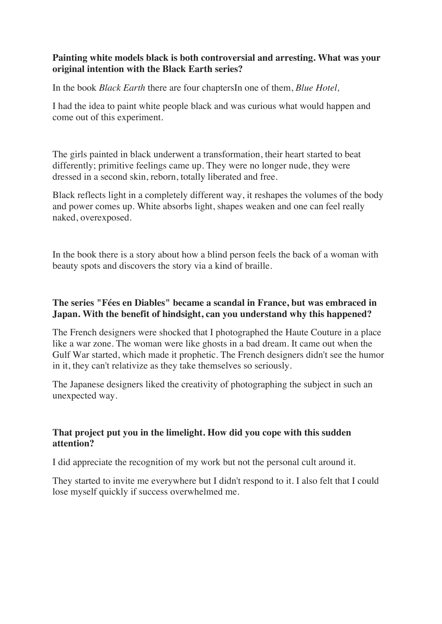### **Painting white models black is both controversial and arresting. What was your original intention with the Black Earth series?**

In the book *Black Earth* there are four chaptersIn one of them, *Blue Hotel,*

I had the idea to paint white people black and was curious what would happen and come out of this experiment.

The girls painted in black underwent a transformation, their heart started to beat differently; primitive feelings came up. They were no longer nude, they were dressed in a second skin, reborn, totally liberated and free.

Black reflects light in a completely different way, it reshapes the volumes of the body and power comes up. White absorbs light, shapes weaken and one can feel really naked, overexposed.

In the book there is a story about how a blind person feels the back of a woman with beauty spots and discovers the story via a kind of braille.

# **The series "Fées en Diables" became a scandal in France, but was embraced in Japan. With the benefit of hindsight, can you understand why this happened?**

The French designers were shocked that I photographed the Haute Couture in a place like a war zone. The woman were like ghosts in a bad dream. It came out when the Gulf War started, which made it prophetic. The French designers didn't see the humor in it, they can't relativize as they take themselves so seriously.

The Japanese designers liked the creativity of photographing the subject in such an unexpected way.

# **That project put you in the limelight. How did you cope with this sudden attention?**

I did appreciate the recognition of my work but not the personal cult around it.

They started to invite me everywhere but I didn't respond to it. I also felt that I could lose myself quickly if success overwhelmed me.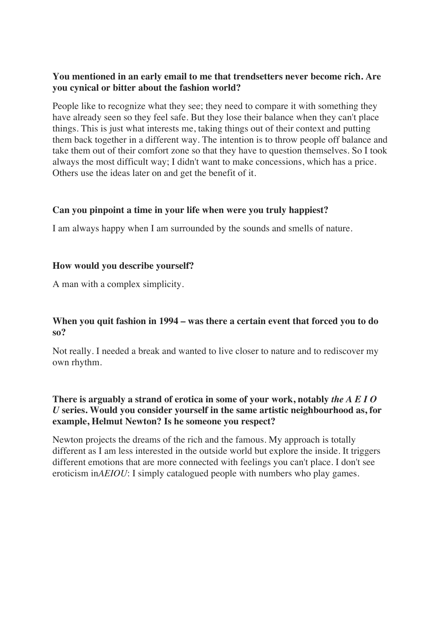#### **You mentioned in an early email to me that trendsetters never become rich. Are you cynical or bitter about the fashion world?**

People like to recognize what they see; they need to compare it with something they have already seen so they feel safe. But they lose their balance when they can't place things. This is just what interests me, taking things out of their context and putting them back together in a different way. The intention is to throw people off balance and take them out of their comfort zone so that they have to question themselves. So I took always the most difficult way; I didn't want to make concessions, which has a price. Others use the ideas later on and get the benefit of it.

#### **Can you pinpoint a time in your life when were you truly happiest?**

I am always happy when I am surrounded by the sounds and smells of nature.

#### **How would you describe yourself?**

A man with a complex simplicity.

#### **When you quit fashion in 1994 – was there a certain event that forced you to do so?**

Not really. I needed a break and wanted to live closer to nature and to rediscover my own rhythm.

## **There is arguably a strand of erotica in some of your work, notably** *the A E I O U* **series. Would you consider yourself in the same artistic neighbourhood as, for example, Helmut Newton? Is he someone you respect?**

Newton projects the dreams of the rich and the famous. My approach is totally different as I am less interested in the outside world but explore the inside. It triggers different emotions that are more connected with feelings you can't place. I don't see eroticism in*AEIOU*: I simply catalogued people with numbers who play games.